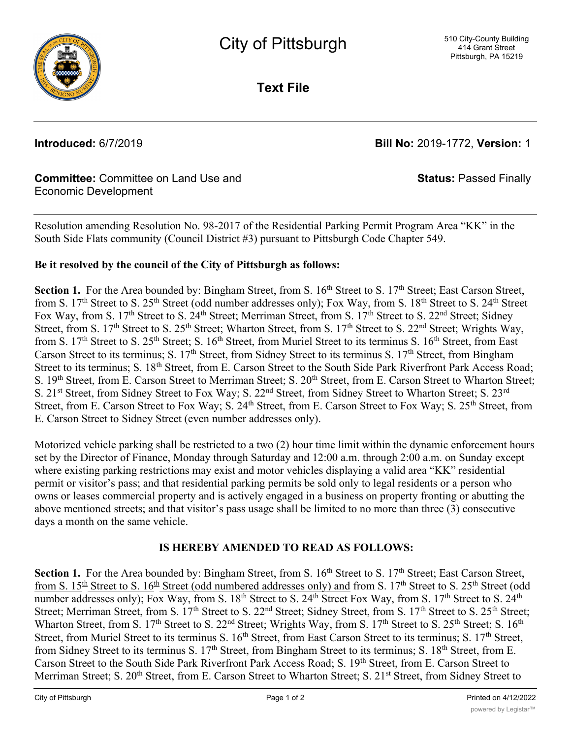

**Text File**

**Introduced:** 6/7/2019 **Bill No:** 2019-1772, **Version:** 1

**Status:** Passed Finally

# **Committee:** Committee on Land Use and Economic Development

Resolution amending Resolution No. 98-2017 of the Residential Parking Permit Program Area "KK" in the South Side Flats community (Council District #3) pursuant to Pittsburgh Code Chapter 549.

# **Be it resolved by the council of the City of Pittsburgh as follows:**

**Section 1.** For the Area bounded by: Bingham Street, from S. 16<sup>th</sup> Street to S. 17<sup>th</sup> Street; East Carson Street, from S. 17<sup>th</sup> Street to S. 25<sup>th</sup> Street (odd number addresses only); Fox Way, from S. 18<sup>th</sup> Street to S. 24<sup>th</sup> Street Fox Way, from S. 17<sup>th</sup> Street to S. 24<sup>th</sup> Street; Merriman Street, from S. 17<sup>th</sup> Street to S. 22<sup>nd</sup> Street; Sidney Street, from S.  $17<sup>th</sup>$  Street to S.  $25<sup>th</sup>$  Street; Wharton Street, from S.  $17<sup>th</sup>$  Street to S.  $22<sup>nd</sup>$  Street; Wrights Way, from S. 17<sup>th</sup> Street to S. 25<sup>th</sup> Street; S. 16<sup>th</sup> Street, from Muriel Street to its terminus S. 16<sup>th</sup> Street, from East Carson Street to its terminus; S.  $17<sup>th</sup>$  Street, from Sidney Street to its terminus S.  $17<sup>th</sup>$  Street, from Bingham Street to its terminus; S. 18<sup>th</sup> Street, from E. Carson Street to the South Side Park Riverfront Park Access Road; S. 19<sup>th</sup> Street, from E. Carson Street to Merriman Street; S. 20<sup>th</sup> Street, from E. Carson Street to Wharton Street; S. 21<sup>st</sup> Street, from Sidney Street to Fox Way; S. 22<sup>nd</sup> Street, from Sidney Street to Wharton Street; S. 23<sup>rd</sup> Street, from E. Carson Street to Fox Way; S. 24<sup>th</sup> Street, from E. Carson Street to Fox Way; S. 25<sup>th</sup> Street, from E. Carson Street to Sidney Street (even number addresses only).

Motorized vehicle parking shall be restricted to a two (2) hour time limit within the dynamic enforcement hours set by the Director of Finance, Monday through Saturday and 12:00 a.m. through 2:00 a.m. on Sunday except where existing parking restrictions may exist and motor vehicles displaying a valid area "KK" residential permit or visitor's pass; and that residential parking permits be sold only to legal residents or a person who owns or leases commercial property and is actively engaged in a business on property fronting or abutting the above mentioned streets; and that visitor's pass usage shall be limited to no more than three (3) consecutive days a month on the same vehicle.

# **IS HEREBY AMENDED TO READ AS FOLLOWS:**

**Section 1.** For the Area bounded by: Bingham Street, from S. 16<sup>th</sup> Street to S. 17<sup>th</sup> Street; East Carson Street, from S. 15<sup>th</sup> Street to S. 16<sup>th</sup> Street (odd numbered addresses only) and from S. 17<sup>th</sup> Street to S. 25<sup>th</sup> Street (odd number addresses only); Fox Way, from S. 18<sup>th</sup> Street to S. 24<sup>th</sup> Street Fox Way, from S. 17<sup>th</sup> Street to S. 24<sup>th</sup> Street; Merriman Street, from S. 17<sup>th</sup> Street to S. 22<sup>nd</sup> Street; Sidney Street, from S. 17<sup>th</sup> Street to S. 25<sup>th</sup> Street; Wharton Street, from S. 17<sup>th</sup> Street to S. 22<sup>nd</sup> Street; Wrights Way, from S. 17<sup>th</sup> Street to S. 25<sup>th</sup> Street; S. 16<sup>th</sup> Street, from Muriel Street to its terminus S. 16<sup>th</sup> Street, from East Carson Street to its terminus; S. 17<sup>th</sup> Street, from Sidney Street to its terminus S. 17<sup>th</sup> Street, from Bingham Street to its terminus; S. 18<sup>th</sup> Street, from E. Carson Street to the South Side Park Riverfront Park Access Road; S. 19th Street, from E. Carson Street to Merriman Street; S. 20<sup>th</sup> Street, from E. Carson Street to Wharton Street; S. 21<sup>st</sup> Street, from Sidney Street to nd radio and response to the contract of the contract of the contract of the contract of the contract of the c